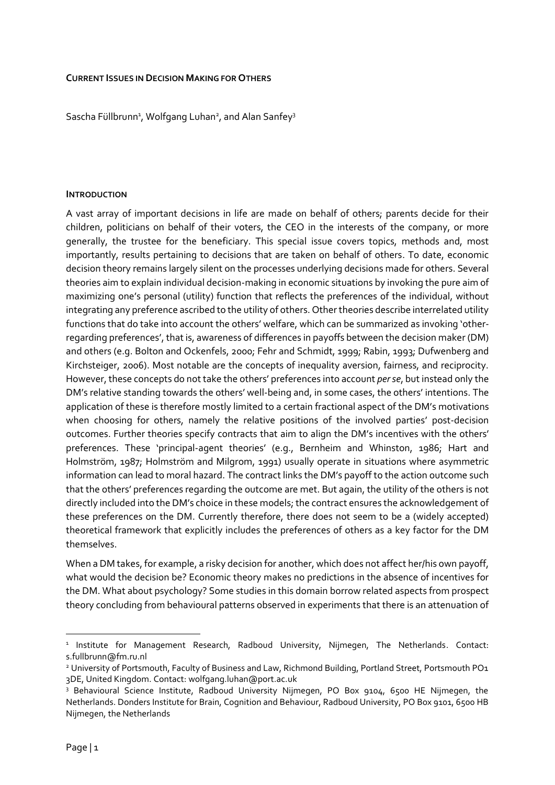### **CURRENT ISSUES IN DECISION MAKING FOR OTHERS**

Sascha Füllbrunn<sup>1</sup>, Wolfgang Luhan<sup>2</sup>, and Alan Sanfey<sup>3</sup>

#### **INTRODUCTION**

A vast array of important decisions in life are made on behalf of others; parents decide for their children, politicians on behalf of their voters, the CEO in the interests of the company, or more generally, the trustee for the beneficiary. This special issue covers topics, methods and, most importantly, results pertaining to decisions that are taken on behalf of others. To date, economic decision theory remains largely silent on the processes underlying decisions made for others. Several theories aim to explain individual decision-making in economic situations by invoking the pure aim of maximizing one's personal (utility) function that reflects the preferences of the individual, without integrating any preference ascribed to the utility of others. Other theories describe interrelated utility functions that do take into account the others' welfare, which can be summarized as invoking 'otherregarding preferences', that is, awareness of differences in payoffs between the decision maker (DM) and others (e.g. Bolton and Ockenfels, 2000; Fehr and Schmidt, 1999; Rabin, 1993; Dufwenberg and Kirchsteiger, 2006). Most notable are the concepts of inequality aversion, fairness, and reciprocity. However, these concepts do not take the others' preferences into account *per se*, but instead only the DM's relative standing towards the others' well-being and, in some cases, the others' intentions. The application of these is therefore mostly limited to a certain fractional aspect of the DM's motivations when choosing for others, namely the relative positions of the involved parties' post-decision outcomes. Further theories specify contracts that aim to align the DM's incentives with the others' preferences. These 'principal-agent theories' (e.g., Bernheim and Whinston, 1986; Hart and Holmström, 1987; Holmström and Milgrom, 1991) usually operate in situations where asymmetric information can lead to moral hazard. The contract links the DM's payoff to the action outcome such that the others' preferences regarding the outcome are met. But again, the utility of the others is not directly included into the DM's choice in these models; the contract ensures the acknowledgement of these preferences on the DM. Currently therefore, there does not seem to be a (widely accepted) theoretical framework that explicitly includes the preferences of others as a key factor for the DM themselves.

When a DM takes, for example, a risky decision for another, which does not affect her/his own payoff, what would the decision be? Economic theory makes no predictions in the absence of incentives for the DM. What about psychology? Some studies in this domain borrow related aspects from prospect theory concluding from behavioural patterns observed in experiments that there is an attenuation of

1

<sup>&</sup>lt;sup>1</sup> Institute for Management Research, Radboud University, Nijmegen, The Netherlands. Contact: s.fullbrunn@fm.ru.nl

<sup>&</sup>lt;sup>2</sup> University of Portsmouth, Faculty of Business and Law, Richmond Building, Portland Street, Portsmouth PO1 3DE, United Kingdom. Contact: wolfgang.luhan@port.ac.uk

<sup>3</sup> Behavioural Science Institute, Radboud University Nijmegen, PO Box 9104, 6500 HE Nijmegen, the Netherlands. Donders Institute for Brain, Cognition and Behaviour, Radboud University, PO Box 9101, 6500 HB Nijmegen, the Netherlands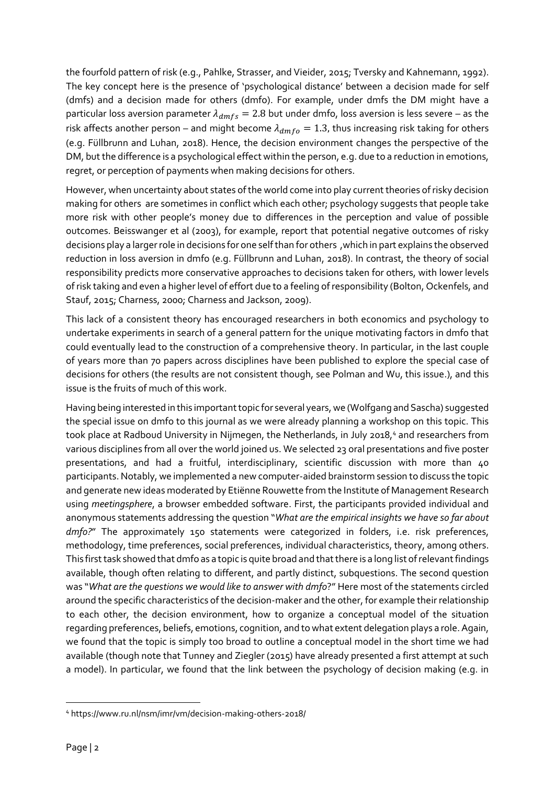the fourfold pattern of risk (e.g., Pahlke, Strasser, and Vieider, 2015; Tversky and Kahnemann, 1992). The key concept here is the presence of 'psychological distance' between a decision made for self (dmfs) and a decision made for others (dmfo). For example, under dmfs the DM might have a particular loss aversion parameter  $\lambda_{dmfs} = 2.8$  but under dmfo, loss aversion is less severe – as the risk affects another person – and might become  $\lambda_{dmfo} = 1.3$ , thus increasing risk taking for others (e.g. Füllbrunn and Luhan, 2018). Hence, the decision environment changes the perspective of the DM, but the difference is a psychological effect within the person, e.g. due to a reduction in emotions, regret, or perception of payments when making decisions for others.

However, when uncertainty about states of the world come into play current theories of risky decision making for others are sometimes in conflict which each other; psychology suggests that people take more risk with other people's money due to differences in the perception and value of possible outcomes. Beisswanger et al (2003), for example, report that potential negative outcomes of risky decisions play a larger role in decisions for one self than for others ,which in part explains the observed reduction in loss aversion in dmfo (e.g. Füllbrunn and Luhan, 2018). In contrast, the theory of social responsibility predicts more conservative approaches to decisions taken for others, with lower levels of risk taking and even a higher level of effort due to a feeling of responsibility (Bolton, Ockenfels, and Stauf, 2015; Charness, 2000; Charness and Jackson, 2009).

This lack of a consistent theory has encouraged researchers in both economics and psychology to undertake experiments in search of a general pattern for the unique motivating factors in dmfo that could eventually lead to the construction of a comprehensive theory. In particular, in the last couple of years more than 70 papers across disciplines have been published to explore the special case of decisions for others (the results are not consistent though, see Polman and Wu, this issue.), and this issue is the fruits of much of this work.

Having being interested in this important topic for several years, we (Wolfgang and Sascha) suggested the special issue on dmfo to this journal as we were already planning a workshop on this topic. This took place at Radboud University in Nijmegen, the Netherlands, in July 2018, <sup>4</sup> and researchers from various disciplines from all over the world joined us. We selected 23 oral presentations and five poster presentations, and had a fruitful, interdisciplinary, scientific discussion with more than 40 participants. Notably, we implemented a new computer-aided brainstorm session to discuss the topic and generate new ideas moderated by Etiënne Rouwette from the Institute of Management Research using *meetingsphere*, a browser embedded software. First, the participants provided individual and anonymous statements addressing the question "*What are the empirical insights we have so far about dmfo?*" The approximately 150 statements were categorized in folders, i.e. risk preferences, methodology, time preferences, social preferences, individual characteristics, theory, among others. This first task showed that dmfo as a topic is quite broad and that there is a long list of relevant findings available, though often relating to different, and partly distinct, subquestions. The second question was "*What are the questions we would like to answer with dmfo*?" Here most of the statements circled around the specific characteristics of the decision-maker and the other, for example their relationship to each other, the decision environment, how to organize a conceptual model of the situation regarding preferences, beliefs, emotions, cognition, and to what extent delegation plays a role. Again, we found that the topic is simply too broad to outline a conceptual model in the short time we had available (though note that Tunney and Ziegler (2015) have already presented a first attempt at such a model). In particular, we found that the link between the psychology of decision making (e.g. in

 $\overline{a}$ 

<sup>4</sup> https://www.ru.nl/nsm/imr/vm/decision-making-others-2018/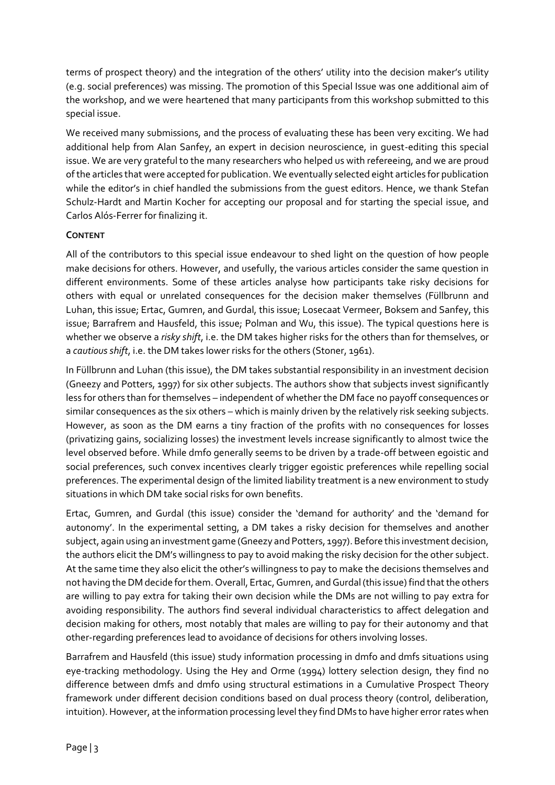terms of prospect theory) and the integration of the others' utility into the decision maker's utility (e.g. social preferences) was missing. The promotion of this Special Issue was one additional aim of the workshop, and we were heartened that many participants from this workshop submitted to this special issue.

We received many submissions, and the process of evaluating these has been very exciting. We had additional help from Alan Sanfey, an expert in decision neuroscience, in guest-editing this special issue. We are very grateful to the many researchers who helped us with refereeing, and we are proud of the articles that were accepted for publication. We eventually selected eight articles for publication while the editor's in chief handled the submissions from the guest editors. Hence, we thank Stefan Schulz-Hardt and Martin Kocher for accepting our proposal and for starting the special issue, and Carlos Alós-Ferrer for finalizing it.

# **CONTENT**

All of the contributors to this special issue endeavour to shed light on the question of how people make decisions for others. However, and usefully, the various articles consider the same question in different environments. Some of these articles analyse how participants take risky decisions for others with equal or unrelated consequences for the decision maker themselves (Füllbrunn and Luhan, this issue; Ertac, Gumren, and Gurdal, this issue; Losecaat Vermeer, Boksem and Sanfey, this issue; Barrafrem and Hausfeld, this issue; Polman and Wu, this issue). The typical questions here is whether we observe a *risky shift*, i.e. the DM takes higher risks for the others than for themselves, or a *cautious shift*, i.e. the DM takes lower risks for the others (Stoner, 1961).

In Füllbrunn and Luhan (this issue), the DM takes substantial responsibility in an investment decision (Gneezy and Potters, 1997) for six other subjects. The authors show that subjects invest significantly less for others than for themselves – independent of whether the DM face no payoff consequences or similar consequences as the six others – which is mainly driven by the relatively risk seeking subjects. However, as soon as the DM earns a tiny fraction of the profits with no consequences for losses (privatizing gains, socializing losses) the investment levels increase significantly to almost twice the level observed before. While dmfo generally seems to be driven by a trade-off between egoistic and social preferences, such convex incentives clearly trigger egoistic preferences while repelling social preferences. The experimental design of the limited liability treatment is a new environment to study situations in which DM take social risks for own benefits.

Ertac, Gumren, and Gurdal (this issue) consider the 'demand for authority' and the 'demand for autonomy'. In the experimental setting, a DM takes a risky decision for themselves and another subject, again using an investment game (Gneezy and Potters, 1997). Before this investment decision, the authors elicit the DM's willingness to pay to avoid making the risky decision for the other subject. At the same time they also elicit the other's willingness to pay to make the decisions themselves and not having the DM decide for them. Overall, Ertac, Gumren, and Gurdal (this issue) find that the others are willing to pay extra for taking their own decision while the DMs are not willing to pay extra for avoiding responsibility. The authors find several individual characteristics to affect delegation and decision making for others, most notably that males are willing to pay for their autonomy and that other-regarding preferences lead to avoidance of decisions for others involving losses.

Barrafrem and Hausfeld (this issue) study information processing in dmfo and dmfs situations using eye-tracking methodology. Using the Hey and Orme (1994) lottery selection design, they find no difference between dmfs and dmfo using structural estimations in a Cumulative Prospect Theory framework under different decision conditions based on dual process theory (control, deliberation, intuition). However, atthe information processing level they find DMs to have higher error rates when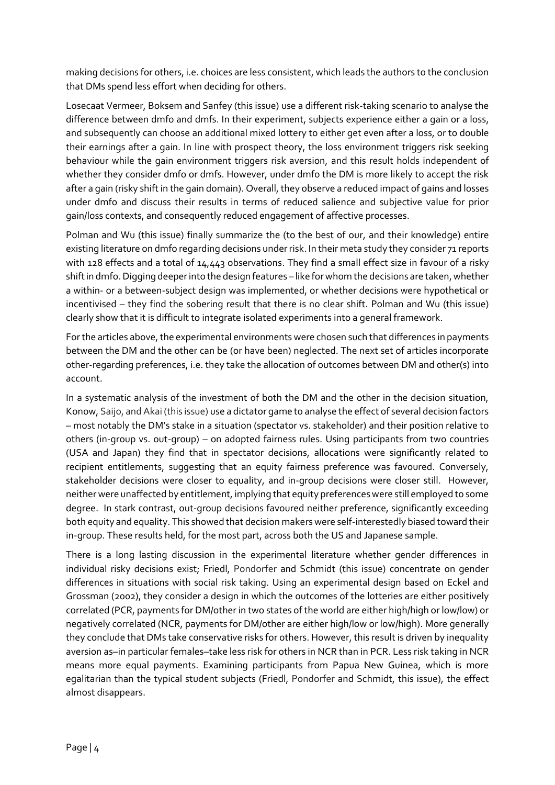making decisions for others, i.e. choices are less consistent, which leads the authors to the conclusion that DMs spend less effort when deciding for others.

Losecaat Vermeer, Boksem and Sanfey (this issue) use a different risk-taking scenario to analyse the difference between dmfo and dmfs. In their experiment, subjects experience either a gain or a loss, and subsequently can choose an additional mixed lottery to either get even after a loss, or to double their earnings after a gain. In line with prospect theory, the loss environment triggers risk seeking behaviour while the gain environment triggers risk aversion, and this result holds independent of whether they consider dmfo or dmfs. However, under dmfo the DM is more likely to accept the risk after a gain (risky shift in the gain domain). Overall, they observe a reduced impact of gains and losses under dmfo and discuss their results in terms of reduced salience and subjective value for prior gain/loss contexts, and consequently reduced engagement of affective processes.

Polman and Wu (this issue) finally summarize the (to the best of our, and their knowledge) entire existing literature on dmfo regarding decisions under risk. In their meta study they consider 71 reports with 128 effects and a total of 14,443 observations. They find a small effect size in favour of a risky shiftin dmfo. Digging deeper into the design features – like for whom the decisions are taken, whether a within- or a between-subject design was implemented, or whether decisions were hypothetical or incentivised – they find the sobering result that there is no clear shift. Polman and Wu (this issue) clearly show that it is difficult to integrate isolated experiments into a general framework.

For the articles above, the experimental environments were chosen such that differences in payments between the DM and the other can be (or have been) neglected. The next set of articles incorporate other-regarding preferences, i.e. they take the allocation of outcomes between DM and other(s) into account.

In a systematic analysis of the investment of both the DM and the other in the decision situation, Konow, Saijo, and Akai (this issue) use a dictator game to analyse the effect of several decision factors – most notably the DM's stake in a situation (spectator vs. stakeholder) and their position relative to others (in-group vs. out-group) – on adopted fairness rules. Using participants from two countries (USA and Japan) they find that in spectator decisions, allocations were significantly related to recipient entitlements, suggesting that an equity fairness preference was favoured. Conversely, stakeholder decisions were closer to equality, and in-group decisions were closer still. However, neither were unaffected by entitlement, implying that equity preferences were still employed to some degree. In stark contrast, out-group decisions favoured neither preference, significantly exceeding both equity and equality. This showed that decision makers were self-interestedly biased toward their in-group. These results held, for the most part, across both the US and Japanese sample.

There is a long lasting discussion in the experimental literature whether gender differences in individual risky decisions exist; Friedl, Pondorfer and Schmidt (this issue) concentrate on gender differences in situations with social risk taking. Using an experimental design based on Eckel and Grossman (2002), they consider a design in which the outcomes of the lotteries are either positively correlated (PCR, payments for DM/other in two states of the world are either high/high or low/low) or negatively correlated (NCR, payments for DM/other are either high/low or low/high). More generally they conclude that DMs take conservative risks for others. However, this result is driven by inequality aversion as–in particular females–take less risk for others in NCR than in PCR. Less risk taking in NCR means more equal payments. Examining participants from Papua New Guinea, which is more egalitarian than the typical student subjects (Friedl, Pondorfer and Schmidt, this issue), the effect almost disappears.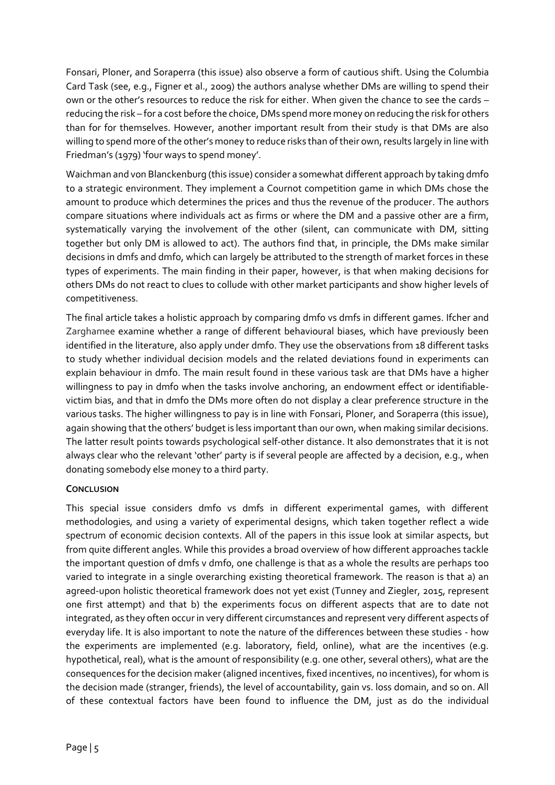Fonsari, Ploner, and Soraperra (this issue) also observe a form of cautious shift. Using the Columbia Card Task (see, e.g., Figner et al., 2009) the authors analyse whether DMs are willing to spend their own or the other's resources to reduce the risk for either. When given the chance to see the cards – reducing the risk – for a cost before the choice, DMs spend more money on reducing the risk for others than for for themselves. However, another important result from their study is that DMs are also willing to spend more of the other's money to reduce risks than of their own, results largely in line with Friedman's (1979) 'four ways to spend money'.

Waichman and von Blanckenburg (this issue) consider a somewhat different approach by taking dmfo to a strategic environment. They implement a Cournot competition game in which DMs chose the amount to produce which determines the prices and thus the revenue of the producer. The authors compare situations where individuals act as firms or where the DM and a passive other are a firm, systematically varying the involvement of the other (silent, can communicate with DM, sitting together but only DM is allowed to act). The authors find that, in principle, the DMs make similar decisions in dmfs and dmfo, which can largely be attributed to the strength of market forces in these types of experiments. The main finding in their paper, however, is that when making decisions for others DMs do not react to clues to collude with other market participants and show higher levels of competitiveness.

The final article takes a holistic approach by comparing dmfo vs dmfs in different games. Ifcher and Zarghamee examine whether a range of different behavioural biases, which have previously been identified in the literature, also apply under dmfo. They use the observations from 18 different tasks to study whether individual decision models and the related deviations found in experiments can explain behaviour in dmfo. The main result found in these various task are that DMs have a higher willingness to pay in dmfo when the tasks involve anchoring, an endowment effect or identifiablevictim bias, and that in dmfo the DMs more often do not display a clear preference structure in the various tasks. The higher willingness to pay is in line with Fonsari, Ploner, and Soraperra (this issue), again showing that the others' budget is less important than our own, when making similar decisions. The latter result points towards psychological self-other distance. It also demonstrates that it is not always clear who the relevant 'other' party is if several people are affected by a decision, e.g., when donating somebody else money to a third party.

## **CONCLUSION**

This special issue considers dmfo vs dmfs in different experimental games, with different methodologies, and using a variety of experimental designs, which taken together reflect a wide spectrum of economic decision contexts. All of the papers in this issue look at similar aspects, but from quite different angles. While this provides a broad overview of how different approaches tackle the important question of dmfs v dmfo, one challenge is that as a whole the results are perhaps too varied to integrate in a single overarching existing theoretical framework. The reason is that a) an agreed-upon holistic theoretical framework does not yet exist (Tunney and Ziegler, 2015, represent one first attempt) and that b) the experiments focus on different aspects that are to date not integrated, as they often occur in very different circumstances and represent very different aspects of everyday life. It is also important to note the nature of the differences between these studies - how the experiments are implemented (e.g. laboratory, field, online), what are the incentives (e.g. hypothetical, real), what is the amount of responsibility (e.g. one other, several others), what are the consequences for the decision maker (aligned incentives, fixed incentives, no incentives), for whom is the decision made (stranger, friends), the level of accountability, gain vs. loss domain, and so on. All of these contextual factors have been found to influence the DM, just as do the individual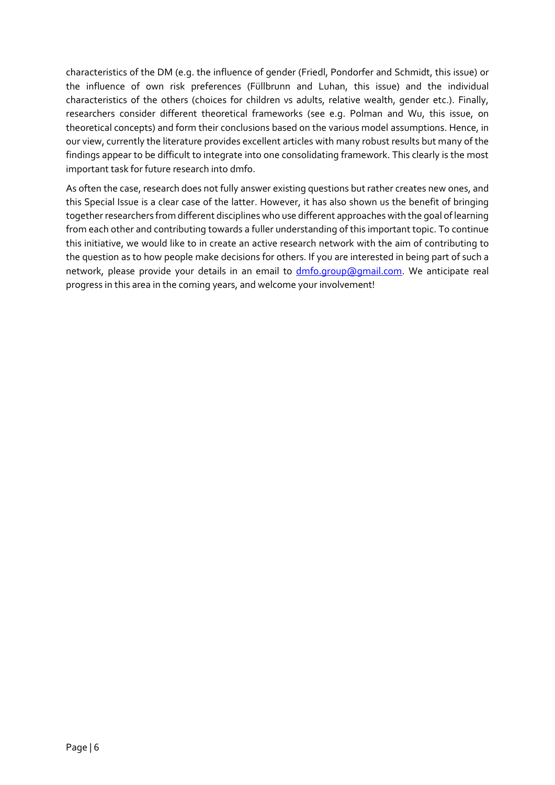characteristics of the DM (e.g. the influence of gender (Friedl, Pondorfer and Schmidt, this issue) or the influence of own risk preferences (Füllbrunn and Luhan, this issue) and the individual characteristics of the others (choices for children vs adults, relative wealth, gender etc.). Finally, researchers consider different theoretical frameworks (see e.g. Polman and Wu, this issue, on theoretical concepts) and form their conclusions based on the various model assumptions. Hence, in our view, currently the literature provides excellent articles with many robust results but many of the findings appear to be difficult to integrate into one consolidating framework. This clearly is the most important task for future research into dmfo.

As often the case, research does not fully answer existing questions but rather creates new ones, and this Special Issue is a clear case of the latter. However, it has also shown us the benefit of bringing together researchers from different disciplines who use different approaches with the goal of learning from each other and contributing towards a fuller understanding of this important topic. To continue this initiative, we would like to in create an active research network with the aim of contributing to the question as to how people make decisions for others. If you are interested in being part of such a network, please provide your details in an email to **dmfo.group@gmail.com**. We anticipate real progress in this area in the coming years, and welcome your involvement!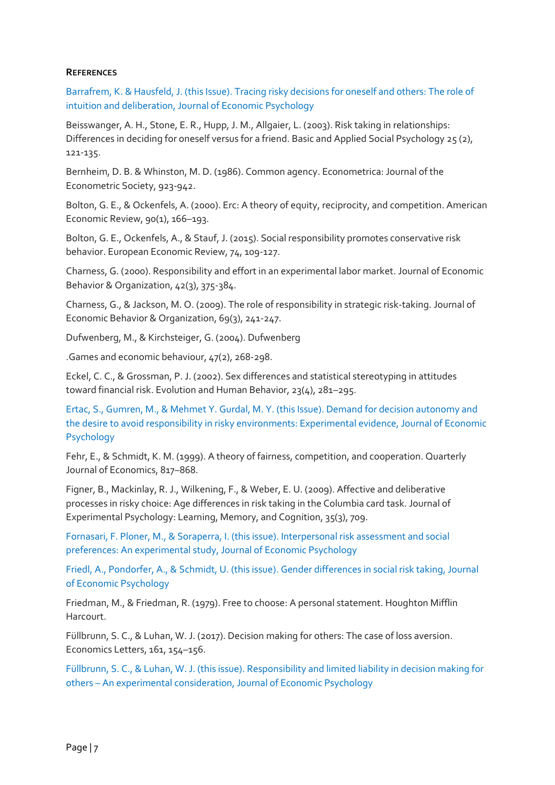## **REFERENCES**

Barrafrem, K. & Hausfeld, J. (this Issue). Tracing risky decisions for oneself and others: The role of intuition and deliberation, Journal of Economic Psychology

Beisswanger, A. H., Stone, E. R., Hupp, J. M., Allgaier, L. (2003). Risk taking in relationships: Differences in deciding for oneself versus for a friend. Basic and Applied Social Psychology 25 (2), 121-135.

Bernheim, D. B. & Whinston, M. D. (1986). Common agency. Econometrica: Journal of the Econometric Society, 923-942.

Bolton, G. E., & Ockenfels, A. (2000). Erc: A theory of equity, reciprocity, and competition. American Economic Review, 90(1), 166–193.

Bolton, G. E., Ockenfels, A., & Stauf, J. (2015). Social responsibility promotes conservative risk behavior. European Economic Review, 74, 109-127.

Charness, G. (2000). Responsibility and effort in an experimental labor market. Journal of Economic Behavior & Organization, 42(3), 375-384.

Charness, G., & Jackson, M. O. (2009). The role of responsibility in strategic risk-taking. Journal of Economic Behavior & Organization, 69(3), 241-247.

Dufwenberg, M., & Kirchsteiger, G. (2004). Dufwenberg

.Games and economic behaviour, 47(2), 268-298.

Eckel, C. C., & Grossman, P. J. (2002). Sex differences and statistical stereotyping in attitudes toward financial risk. Evolution and Human Behavior, 23(4), 281–295.

Ertac, S., Gumren, M., & Mehmet Y. Gurdal, M. Y. (this Issue). Demand for decision autonomy and the desire to avoid responsibility in risky environments: Experimental evidence, Journal of Economic Psychology

Fehr, E., & Schmidt, K. M. (1999). A theory of fairness, competition, and cooperation. Quarterly Journal of Economics, 817–868.

Figner, B., Mackinlay, R. J., Wilkening, F., & Weber, E. U. (2009). Affective and deliberative processes in risky choice: Age differences in risk taking in the Columbia card task. Journal of Experimental Psychology: Learning, Memory, and Cognition, 35(3), 709.

Fornasari, F. Ploner, M., & Soraperra, I. (this issue). Interpersonal risk assessment and social preferences: An experimental study, Journal of Economic Psychology

Friedl, A., Pondorfer, A., & Schmidt, U. (this issue). Gender differences in social risk taking, Journal of Economic Psychology

Friedman, M., & Friedman, R. (1979). Free to choose: A personal statement. Houghton Mifflin Harcourt.

Füllbrunn, S. C., & Luhan, W. J. (2017). Decision making for others: The case of loss aversion. Economics Letters, 161, 154–156.

Füllbrunn, S. C., & Luhan, W. J. (this issue). Responsibility and limited liability in decision making for others – An experimental consideration, Journal of Economic Psychology